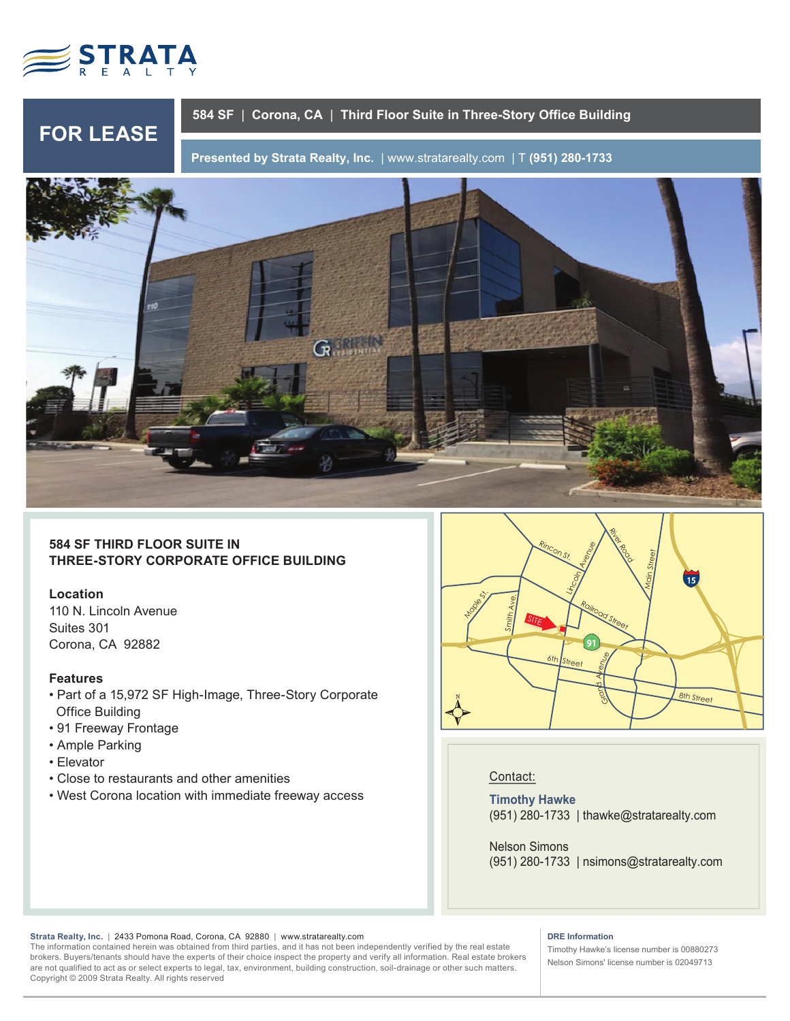

**FOR LEASE**

# **584 SF** | **Corona, CA** | **Third Floor Suite in Three-Story Office Building**

**Presented by Strata Realty, Inc.** | www.stratarealty.com | T **(951) 280-1733**



**584 SF THIRD FLOOR SUITE IN THREE-STORY CORPORATE OFFICE BUILDING**

# **Location**

110 N. Lincoln Avenue Suites 301 Corona, CA 92882

# **Features**

- Part of a 15,972 SF High-Image, Three-Story Corporate Office Building
- 91 Freeway Frontage
- Ample Parking
- Elevator
- Close to restaurants and other amenities
- West Corona location with immediate freeway access



# Contact:

**Timothy Hawke** (951) 280-1733 | thawke@stratarealty.com

Nelson Simons (951) 280-1733 | nsimons@stratarealty.com

#### **Strata Realty, Inc.** | 2433 Pomona Road, Corona, CA 92880| www.stratarealty.com

The information contained herein was obtained from third parties, and it has not been independently verified by the real estate brokers. Buyers/tenants should have the experts of their choice inspect the property and verify all information. Real estate brokers are not qualified to act as or select experts to legal, tax, environment, building construction, soil-drainage or other such matters. Copyright © 2009 Strata Realty. All rights reserved

### **DRE Information**

Timothy Hawke's license number is 00880273 Nelson Simons' license number is 02049713